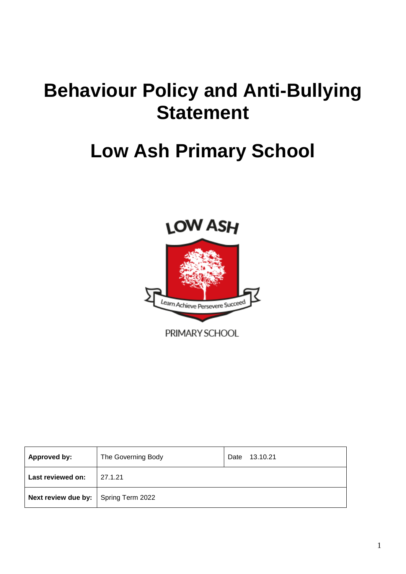# **Behaviour Policy and Anti-Bullying Statement**

# **Low Ash Primary School**



| Approved by:                                | The Governing Body | 13.10.21<br>Date |
|---------------------------------------------|--------------------|------------------|
| Last reviewed on:                           | 27.1.21            |                  |
| <b>Next review due by:</b> Spring Term 2022 |                    |                  |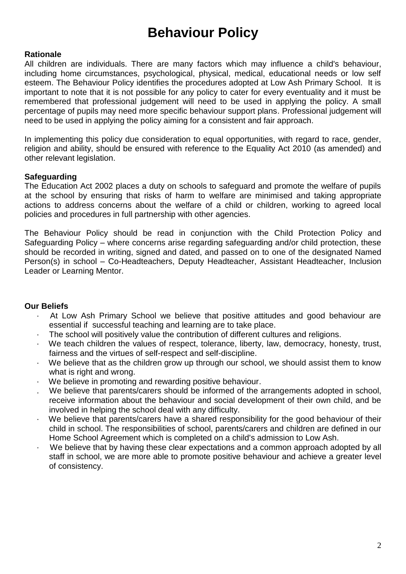# **Behaviour Policy**

## **Rationale**

All children are individuals. There are many factors which may influence a child's behaviour, including home circumstances, psychological, physical, medical, educational needs or low self esteem. The Behaviour Policy identifies the procedures adopted at Low Ash Primary School. It is important to note that it is not possible for any policy to cater for every eventuality and it must be remembered that professional judgement will need to be used in applying the policy. A small percentage of pupils may need more specific behaviour support plans. Professional judgement will need to be used in applying the policy aiming for a consistent and fair approach.

In implementing this policy due consideration to equal opportunities, with regard to race, gender, religion and ability, should be ensured with reference to the Equality Act 2010 (as amended) and other relevant legislation.

## **Safeguarding**

The Education Act 2002 places a duty on schools to safeguard and promote the welfare of pupils at the school by ensuring that risks of harm to welfare are minimised and taking appropriate actions to address concerns about the welfare of a child or children, working to agreed local policies and procedures in full partnership with other agencies.

The Behaviour Policy should be read in conjunction with the Child Protection Policy and Safeguarding Policy – where concerns arise regarding safeguarding and/or child protection, these should be recorded in writing, signed and dated, and passed on to one of the designated Named Person(s) in school – Co-Headteachers, Deputy Headteacher, Assistant Headteacher, Inclusion Leader or Learning Mentor.

#### **Our Beliefs**

- At Low Ash Primary School we believe that positive attitudes and good behaviour are essential if successful teaching and learning are to take place.
- The school will positively value the contribution of different cultures and religions.
- We teach children the values of respect, tolerance, liberty, law, democracy, honesty, trust, fairness and the virtues of self-respect and self-discipline.
- We believe that as the children grow up through our school, we should assist them to know what is right and wrong.
- We believe in promoting and rewarding positive behaviour.
- . We believe that parents/carers should be informed of the arrangements adopted in school, receive information about the behaviour and social development of their own child, and be involved in helping the school deal with any difficulty.
- We believe that parents/carers have a shared responsibility for the good behaviour of their child in school. The responsibilities of school, parents/carers and children are defined in our Home School Agreement which is completed on a child's admission to Low Ash.
- We believe that by having these clear expectations and a common approach adopted by all staff in school, we are more able to promote positive behaviour and achieve a greater level of consistency.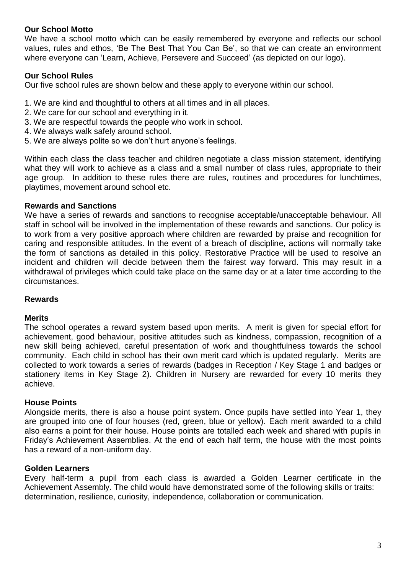# **Our School Motto**

We have a school motto which can be easily remembered by everyone and reflects our school values, rules and ethos, 'Be The Best That You Can Be', so that we can create an environment where everyone can 'Learn, Achieve, Persevere and Succeed' (as depicted on our logo).

# **Our School Rules**

Our five school rules are shown below and these apply to everyone within our school.

- 1. We are kind and thoughtful to others at all times and in all places.
- 2. We care for our school and everything in it.
- 3. We are respectful towards the people who work in school.
- 4. We always walk safely around school.
- 5. We are always polite so we don't hurt anyone's feelings.

Within each class the class teacher and children negotiate a class mission statement, identifying what they will work to achieve as a class and a small number of class rules, appropriate to their age group. In addition to these rules there are rules, routines and procedures for lunchtimes, playtimes, movement around school etc.

#### **Rewards and Sanctions**

We have a series of rewards and sanctions to recognise acceptable/unacceptable behaviour. All staff in school will be involved in the implementation of these rewards and sanctions. Our policy is to work from a very positive approach where children are rewarded by praise and recognition for caring and responsible attitudes. In the event of a breach of discipline, actions will normally take the form of sanctions as detailed in this policy. Restorative Practice will be used to resolve an incident and children will decide between them the fairest way forward. This may result in a withdrawal of privileges which could take place on the same day or at a later time according to the circumstances.

#### **Rewards**

#### **Merits**

The school operates a reward system based upon merits. A merit is given for special effort for achievement, good behaviour, positive attitudes such as kindness, compassion, recognition of a new skill being achieved, careful presentation of work and thoughtfulness towards the school community. Each child in school has their own merit card which is updated regularly. Merits are collected to work towards a series of rewards (badges in Reception / Key Stage 1 and badges or stationery items in Key Stage 2). Children in Nursery are rewarded for every 10 merits they achieve.

#### **House Points**

Alongside merits, there is also a house point system. Once pupils have settled into Year 1, they are grouped into one of four houses (red, green, blue or yellow). Each merit awarded to a child also earns a point for their house. House points are totalled each week and shared with pupils in Friday's Achievement Assemblies. At the end of each half term, the house with the most points has a reward of a non-uniform day.

#### **Golden Learners**

Every half-term a pupil from each class is awarded a Golden Learner certificate in the Achievement Assembly. The child would have demonstrated some of the following skills or traits: determination, resilience, curiosity, independence, collaboration or communication.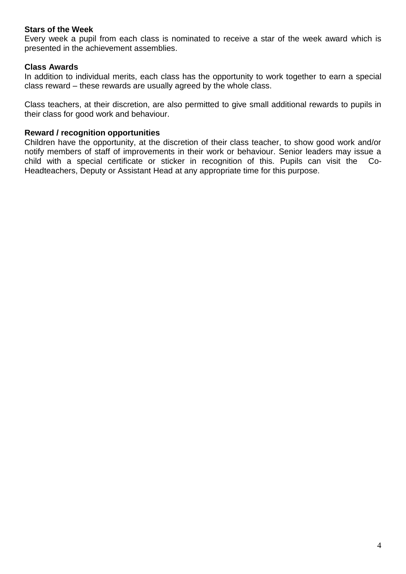#### **Stars of the Week**

Every week a pupil from each class is nominated to receive a star of the week award which is presented in the achievement assemblies.

# **Class Awards**

In addition to individual merits, each class has the opportunity to work together to earn a special class reward – these rewards are usually agreed by the whole class.

Class teachers, at their discretion, are also permitted to give small additional rewards to pupils in their class for good work and behaviour.

#### **Reward / recognition opportunities**

Children have the opportunity, at the discretion of their class teacher, to show good work and/or notify members of staff of improvements in their work or behaviour. Senior leaders may issue a child with a special certificate or sticker in recognition of this. Pupils can visit the Co-Headteachers, Deputy or Assistant Head at any appropriate time for this purpose.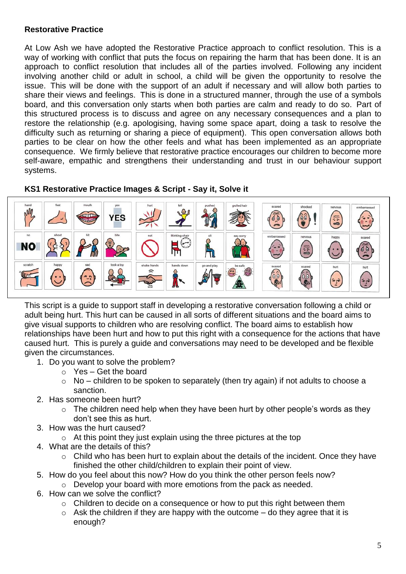# **Restorative Practice**

At Low Ash we have adopted the Restorative Practice approach to conflict resolution. This is a way of working with conflict that puts the focus on repairing the harm that has been done. It is an approach to conflict resolution that includes all of the parties involved. Following any incident involving another child or adult in school, a child will be given the opportunity to resolve the issue. This will be done with the support of an adult if necessary and will allow both parties to share their views and feelings. This is done in a structured manner, through the use of a symbols board, and this conversation only starts when both parties are calm and ready to do so. Part of this structured process is to discuss and agree on any necessary consequences and a plan to restore the relationship (e.g. apologising, having some space apart, doing a task to resolve the difficulty such as returning or sharing a piece of equipment). This open conversation allows both parties to be clear on how the other feels and what has been implemented as an appropriate consequence. We firmly believe that restorative practice encourages our children to become more self-aware, empathic and strengthens their understanding and trust in our behaviour support systems.



#### **KS1 Restorative Practice Images & Script - Say it, Solve it**

This script is a guide to support staff in developing a restorative conversation following a child or adult being hurt. This hurt can be caused in all sorts of different situations and the board aims to give visual supports to children who are resolving conflict. The board aims to establish how relationships have been hurt and how to put this right with a consequence for the actions that have caused hurt. This is purely a guide and conversations may need to be developed and be flexible given the circumstances.

- 1. Do you want to solve the problem?
	- $\circ$  Yes Get the board
	- $\circ$  No children to be spoken to separately (then try again) if not adults to choose a sanction.
- 2. Has someone been hurt?
	- $\circ$  The children need help when they have been hurt by other people's words as they don't see this as hurt.
- 3. How was the hurt caused?
	- $\circ$  At this point they just explain using the three pictures at the top
- 4. What are the details of this?
	- o Child who has been hurt to explain about the details of the incident. Once they have finished the other child/children to explain their point of view.
- 5. How do you feel about this now? How do you think the other person feels now?
	- o Develop your board with more emotions from the pack as needed.
- 6. How can we solve the conflict?
	- o Children to decide on a consequence or how to put this right between them
	- $\circ$  Ask the children if they are happy with the outcome do they agree that it is enough?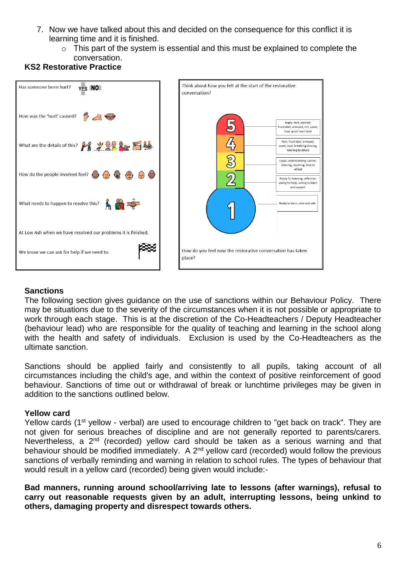- 7. Now we have talked about this and decided on the consequence for this conflict it is learning time and it is finished.
	- $\circ$  This part of the system is essential and this must be explained to complete the conversation.





#### **Sanctions**

The following section gives guidance on the use of sanctions within our Behaviour Policy. There may be situations due to the severity of the circumstances when it is not possible or appropriate to work through each stage. This is at the discretion of the Co-Headteachers / Deputy Headteacher (behaviour lead) who are responsible for the quality of teaching and learning in the school along with the health and safety of individuals. Exclusion is used by the Co-Headteachers as the ultimate sanction.

Sanctions should be applied fairly and consistently to all pupils, taking account of all circumstances including the child's age, and within the context of positive reinforcement of good behaviour. Sanctions of time out or withdrawal of break or lunchtime privileges may be given in addition to the sanctions outlined below.

#### **Yellow card**

Yellow cards (1<sup>st</sup> yellow - verbal) are used to encourage children to "get back on track". They are not given for serious breaches of discipline and are not generally reported to parents/carers. Nevertheless, a 2<sup>nd</sup> (recorded) yellow card should be taken as a serious warning and that behaviour should be modified immediately. A  $2<sup>nd</sup>$  yellow card (recorded) would follow the previous sanctions of verbally reminding and warning in relation to school rules. The types of behaviour that would result in a yellow card (recorded) being given would include:-

**Bad manners, running around school/arriving late to lessons (after warnings), refusal to carry out reasonable requests given by an adult, interrupting lessons, being unkind to others, damaging property and disrespect towards others.**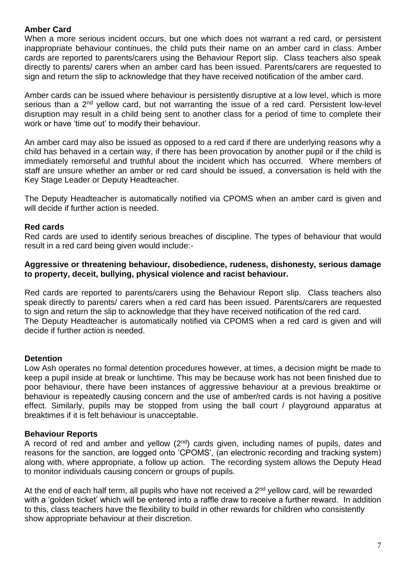# **Amber Card**

When a more serious incident occurs, but one which does not warrant a red card, or persistent inappropriate behaviour continues, the child puts their name on an amber card in class. Amber cards are reported to parents/carers using the Behaviour Report slip. Class teachers also speak directly to parents/ carers when an amber card has been issued. Parents/carers are requested to sign and return the slip to acknowledge that they have received notification of the amber card.

Amber cards can be issued where behaviour is persistently disruptive at a low level, which is more serious than a 2<sup>nd</sup> vellow card, but not warranting the issue of a red card. Persistent low-level disruption may result in a child being sent to another class for a period of time to complete their work or have 'time out' to modify their behaviour.

An amber card may also be issued as opposed to a red card if there are underlying reasons why a child has behaved in a certain way, if there has been provocation by another pupil or if the child is immediately remorseful and truthful about the incident which has occurred. Where members of staff are unsure whether an amber or red card should be issued, a conversation is held with the Key Stage Leader or Deputy Headteacher.

The Deputy Headteacher is automatically notified via CPOMS when an amber card is given and will decide if further action is needed.

# **Red cards**

Red cards are used to identify serious breaches of discipline. The types of behaviour that would result in a red card being given would include:-

## **Aggressive or threatening behaviour, disobedience, rudeness, dishonesty, serious damage to property, deceit, bullying, physical violence and racist behaviour.**

Red cards are reported to parents/carers using the Behaviour Report slip. Class teachers also speak directly to parents/ carers when a red card has been issued. Parents/carers are requested to sign and return the slip to acknowledge that they have received notification of the red card. The Deputy Headteacher is automatically notified via CPOMS when a red card is given and will decide if further action is needed.

# **Detention**

Low Ash operates no formal detention procedures however, at times, a decision might be made to keep a pupil inside at break or lunchtime. This may be because work has not been finished due to poor behaviour, there have been instances of aggressive behaviour at a previous breaktime or behaviour is repeatedly causing concern and the use of amber/red cards is not having a positive effect. Similarly, pupils may be stopped from using the ball court / playground apparatus at breaktimes if it is felt behaviour is unacceptable.

# **Behaviour Reports**

A record of red and amber and yellow  $(2^{nd})$  cards given, including names of pupils, dates and reasons for the sanction, are logged onto 'CPOMS', (an electronic recording and tracking system) along with, where appropriate, a follow up action. The recording system allows the Deputy Head to monitor individuals causing concern or groups of pupils.

At the end of each half term, all pupils who have not received a 2<sup>nd</sup> yellow card, will be rewarded with a 'golden ticket' which will be entered into a raffle draw to receive a further reward. In addition to this, class teachers have the flexibility to build in other rewards for children who consistently show appropriate behaviour at their discretion.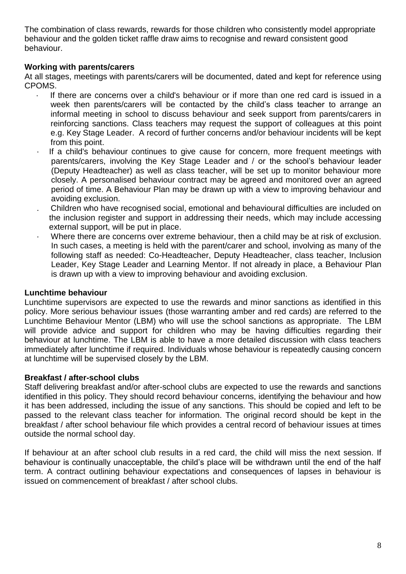The combination of class rewards, rewards for those children who consistently model appropriate behaviour and the golden ticket raffle draw aims to recognise and reward consistent good behaviour.

# **Working with parents/carers**

At all stages, meetings with parents/carers will be documented, dated and kept for reference using CPOMS.

- If there are concerns over a child's behaviour or if more than one red card is issued in a week then parents/carers will be contacted by the child's class teacher to arrange an informal meeting in school to discuss behaviour and seek support from parents/carers in reinforcing sanctions. Class teachers may request the support of colleagues at this point e.g. Key Stage Leader. A record of further concerns and/or behaviour incidents will be kept from this point.
- If a child's behaviour continues to give cause for concern, more frequent meetings with parents/carers, involving the Key Stage Leader and / or the school's behaviour leader (Deputy Headteacher) as well as class teacher, will be set up to monitor behaviour more closely. A personalised behaviour contract may be agreed and monitored over an agreed period of time. A Behaviour Plan may be drawn up with a view to improving behaviour and avoiding exclusion.
- . Children who have recognised social, emotional and behavioural difficulties are included on the inclusion register and support in addressing their needs, which may include accessing external support, will be put in place.
- Where there are concerns over extreme behaviour, then a child may be at risk of exclusion. In such cases, a meeting is held with the parent/carer and school, involving as many of the following staff as needed: Co-Headteacher, Deputy Headteacher, class teacher, Inclusion Leader, Key Stage Leader and Learning Mentor. If not already in place, a Behaviour Plan is drawn up with a view to improving behaviour and avoiding exclusion.

#### **Lunchtime behaviour**

Lunchtime supervisors are expected to use the rewards and minor sanctions as identified in this policy. More serious behaviour issues (those warranting amber and red cards) are referred to the Lunchtime Behaviour Mentor (LBM) who will use the school sanctions as appropriate. The LBM will provide advice and support for children who may be having difficulties regarding their behaviour at lunchtime. The LBM is able to have a more detailed discussion with class teachers immediately after lunchtime if required. Individuals whose behaviour is repeatedly causing concern at lunchtime will be supervised closely by the LBM.

#### **Breakfast / after-school clubs**

Staff delivering breakfast and/or after-school clubs are expected to use the rewards and sanctions identified in this policy. They should record behaviour concerns, identifying the behaviour and how it has been addressed, including the issue of any sanctions. This should be copied and left to be passed to the relevant class teacher for information. The original record should be kept in the breakfast / after school behaviour file which provides a central record of behaviour issues at times outside the normal school day.

If behaviour at an after school club results in a red card, the child will miss the next session. If behaviour is continually unacceptable, the child's place will be withdrawn until the end of the half term. A contract outlining behaviour expectations and consequences of lapses in behaviour is issued on commencement of breakfast / after school clubs.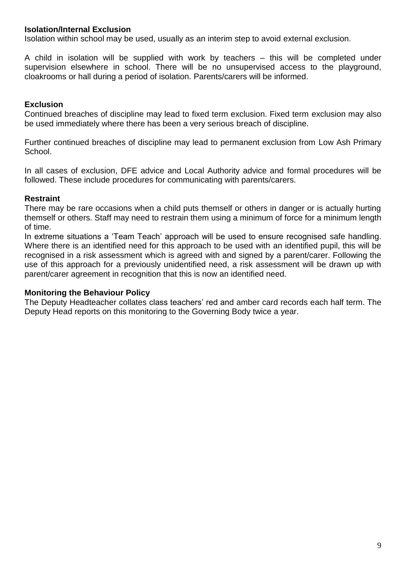#### **Isolation/Internal Exclusion**

Isolation within school may be used, usually as an interim step to avoid external exclusion.

A child in isolation will be supplied with work by teachers – this will be completed under supervision elsewhere in school. There will be no unsupervised access to the playground, cloakrooms or hall during a period of isolation. Parents/carers will be informed.

# **Exclusion**

Continued breaches of discipline may lead to fixed term exclusion. Fixed term exclusion may also be used immediately where there has been a very serious breach of discipline.

Further continued breaches of discipline may lead to permanent exclusion from Low Ash Primary School.

In all cases of exclusion, DFE advice and Local Authority advice and formal procedures will be followed. These include procedures for communicating with parents/carers.

#### **Restraint**

There may be rare occasions when a child puts themself or others in danger or is actually hurting themself or others. Staff may need to restrain them using a minimum of force for a minimum length of time.

In extreme situations a 'Team Teach' approach will be used to ensure recognised safe handling. Where there is an identified need for this approach to be used with an identified pupil, this will be recognised in a risk assessment which is agreed with and signed by a parent/carer. Following the use of this approach for a previously unidentified need, a risk assessment will be drawn up with parent/carer agreement in recognition that this is now an identified need.

#### **Monitoring the Behaviour Policy**

The Deputy Headteacher collates class teachers' red and amber card records each half term. The Deputy Head reports on this monitoring to the Governing Body twice a year.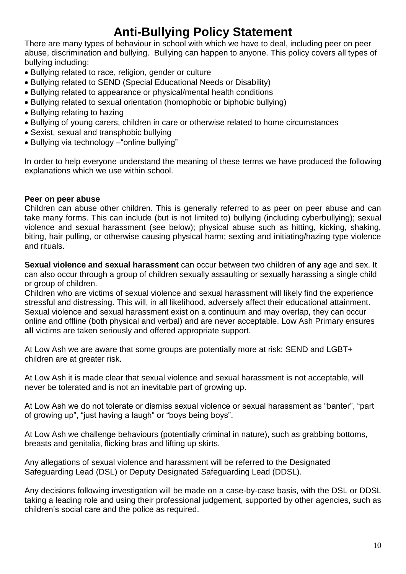# **Anti-Bullying Policy Statement**

There are many types of behaviour in school with which we have to deal, including peer on peer abuse, discrimination and bullying. Bullying can happen to anyone. This policy covers all types of bullying including:

- Bullying related to race, religion, gender or culture
- Bullying related to SEND (Special Educational Needs or Disability)
- Bullying related to appearance or physical/mental health conditions
- Bullying related to sexual orientation (homophobic or biphobic bullying)
- Bullying relating to hazing
- Bullying of young carers, children in care or otherwise related to home circumstances
- Sexist, sexual and transphobic bullying
- Bullying via technology –"online bullying"

In order to help everyone understand the meaning of these terms we have produced the following explanations which we use within school.

# **Peer on peer abuse**

Children can abuse other children. This is generally referred to as peer on peer abuse and can take many forms. This can include (but is not limited to) bullying (including cyberbullying); sexual violence and sexual harassment (see below); physical abuse such as hitting, kicking, shaking, biting, hair pulling, or otherwise causing physical harm; sexting and initiating/hazing type violence and rituals.

**Sexual violence and sexual harassment** can occur between two children of **any** age and sex. It can also occur through a group of children sexually assaulting or sexually harassing a single child or group of children.

Children who are victims of sexual violence and sexual harassment will likely find the experience stressful and distressing. This will, in all likelihood, adversely affect their educational attainment. Sexual violence and sexual harassment exist on a continuum and may overlap, they can occur online and offline (both physical and verbal) and are never acceptable. Low Ash Primary ensures **all** victims are taken seriously and offered appropriate support.

At Low Ash we are aware that some groups are potentially more at risk: SEND and LGBT+ children are at greater risk.

At Low Ash it is made clear that sexual violence and sexual harassment is not acceptable, will never be tolerated and is not an inevitable part of growing up.

At Low Ash we do not tolerate or dismiss sexual violence or sexual harassment as "banter", "part of growing up", "just having a laugh" or "boys being boys".

At Low Ash we challenge behaviours (potentially criminal in nature), such as grabbing bottoms, breasts and genitalia, flicking bras and lifting up skirts.

Any allegations of sexual violence and harassment will be referred to the Designated Safeguarding Lead (DSL) or Deputy Designated Safeguarding Lead (DDSL).

Any decisions following investigation will be made on a case-by-case basis, with the DSL or DDSL taking a leading role and using their professional judgement, supported by other agencies, such as children's social care and the police as required.